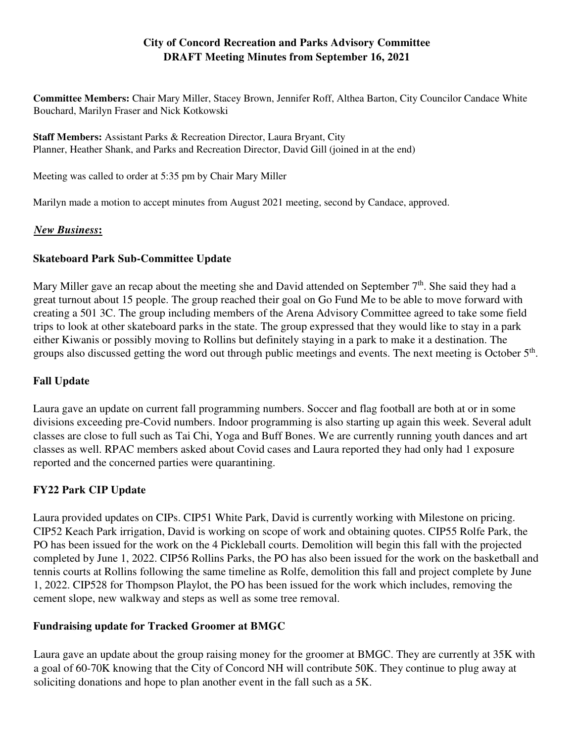# **City of Concord Recreation and Parks Advisory Committee DRAFT Meeting Minutes from September 16, 2021**

**Committee Members:** Chair Mary Miller, Stacey Brown, Jennifer Roff, Althea Barton, City Councilor Candace White Bouchard, Marilyn Fraser and Nick Kotkowski

**Staff Members:** Assistant Parks & Recreation Director, Laura Bryant, City Planner, Heather Shank, and Parks and Recreation Director, David Gill (joined in at the end)

Meeting was called to order at 5:35 pm by Chair Mary Miller

Marilyn made a motion to accept minutes from August 2021 meeting, second by Candace, approved.

### *New Business***:**

### **Skateboard Park Sub-Committee Update**

Mary Miller gave an recap about the meeting she and David attended on September  $7<sup>th</sup>$ . She said they had a great turnout about 15 people. The group reached their goal on Go Fund Me to be able to move forward with creating a 501 3C. The group including members of the Arena Advisory Committee agreed to take some field trips to look at other skateboard parks in the state. The group expressed that they would like to stay in a park either Kiwanis or possibly moving to Rollins but definitely staying in a park to make it a destination. The groups also discussed getting the word out through public meetings and events. The next meeting is October  $5<sup>th</sup>$ .

### **Fall Update**

Laura gave an update on current fall programming numbers. Soccer and flag football are both at or in some divisions exceeding pre-Covid numbers. Indoor programming is also starting up again this week. Several adult classes are close to full such as Tai Chi, Yoga and Buff Bones. We are currently running youth dances and art classes as well. RPAC members asked about Covid cases and Laura reported they had only had 1 exposure reported and the concerned parties were quarantining.

## **FY22 Park CIP Update**

Laura provided updates on CIPs. CIP51 White Park, David is currently working with Milestone on pricing. CIP52 Keach Park irrigation, David is working on scope of work and obtaining quotes. CIP55 Rolfe Park, the PO has been issued for the work on the 4 Pickleball courts. Demolition will begin this fall with the projected completed by June 1, 2022. CIP56 Rollins Parks, the PO has also been issued for the work on the basketball and tennis courts at Rollins following the same timeline as Rolfe, demolition this fall and project complete by June 1, 2022. CIP528 for Thompson Playlot, the PO has been issued for the work which includes, removing the cement slope, new walkway and steps as well as some tree removal.

### **Fundraising update for Tracked Groomer at BMGC**

Laura gave an update about the group raising money for the groomer at BMGC. They are currently at 35K with a goal of 60-70K knowing that the City of Concord NH will contribute 50K. They continue to plug away at soliciting donations and hope to plan another event in the fall such as a 5K.